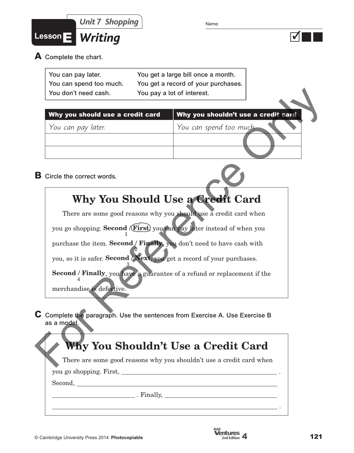



**A** Complete the chart.

| You can pay later.      | You get a large bill once a month.  |
|-------------------------|-------------------------------------|
| You can spend too much. | You get a record of your purchases. |
| You don't need cash.    | You pay a lot of interest.          |

| You don't need cash.                                                                                                                                   | You pay a lot of interest.       |                                     |
|--------------------------------------------------------------------------------------------------------------------------------------------------------|----------------------------------|-------------------------------------|
| Why you should use a credit card                                                                                                                       |                                  | Why you shouldn't use a credit card |
| You can pay later.                                                                                                                                     | You can spend too much.          |                                     |
| <b>B</b> Circle the correct words.                                                                                                                     |                                  |                                     |
|                                                                                                                                                        | Why You Should Use a Credit Card |                                     |
| There are some good reasons why you should use a credit card when                                                                                      |                                  |                                     |
| you go shopping. Second /(First) you can pay later instead of when you                                                                                 |                                  |                                     |
| purchase the item. Second / Finally, you don't need to have cash with<br>you, so it is safer. Second <i>Next</i> , you get a record of your purchases. |                                  |                                     |
| Second / Finally, you have a guarantee of a refund or replacement if the<br>merchandise is defective.                                                  |                                  |                                     |
| $C$ Complete the paragraph. Use the sentences from Exercise A. Use Exercise B<br>as a model.                                                           |                                  |                                     |
| Why You Shouldn't Use a Credit Card                                                                                                                    |                                  |                                     |
| There are some good reasons why you shouldn't use a credit card when                                                                                   |                                  |                                     |



### **Why You Should Use a Credit Card**

# **Why You Shouldn't Use a Credit Card**

you go shopping. First, .

Second,

. Finally,

.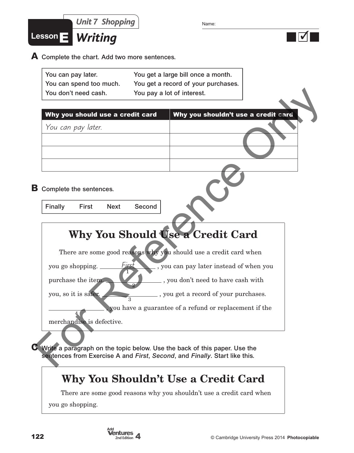

**A** Complete the chart. Add two more sentences.

| You can pay later.      | You get a large bill once a month.    |
|-------------------------|---------------------------------------|
| You can spend too much. | You get a record of your purchases. ' |
| You don't need cash.    | You pay a lot of interest.            |

| You don't need cash.                   | You pay a lot of interest.                                                                                                                                |  |
|----------------------------------------|-----------------------------------------------------------------------------------------------------------------------------------------------------------|--|
| Why you should use a credit card       | Why you shouldn't use a credit card                                                                                                                       |  |
| You can pay later.                     |                                                                                                                                                           |  |
|                                        |                                                                                                                                                           |  |
|                                        |                                                                                                                                                           |  |
|                                        |                                                                                                                                                           |  |
| <b>B</b> Complete the sentences.       |                                                                                                                                                           |  |
|                                        |                                                                                                                                                           |  |
| Finally<br><b>First</b><br><b>Next</b> | Second                                                                                                                                                    |  |
|                                        |                                                                                                                                                           |  |
|                                        | Why You Should Use a Credit Card                                                                                                                          |  |
|                                        | There are some good reasons why you should use a credit card when                                                                                         |  |
| you go shopping.                       | First<br>, you can pay later instead of when you                                                                                                          |  |
| purchase the item.                     | , you don't need to have cash with                                                                                                                        |  |
| you, so it is safer.                   | , you get a record of your purchases.                                                                                                                     |  |
|                                        | you have a guarantee of a refund or replacement if the                                                                                                    |  |
|                                        |                                                                                                                                                           |  |
| merchandise is defective.              |                                                                                                                                                           |  |
|                                        |                                                                                                                                                           |  |
|                                        | C Write a paragraph on the topic below. Use the back of this paper. Use the<br>sentences from Exercise A and First, Second, and Finally. Start like this. |  |
|                                        |                                                                                                                                                           |  |

## **Why You Should Use a Credit Card**

#### **Why You Shouldn't Use a Credit Card**

There are some good reasons why you shouldn't use a credit card when

you go shopping.